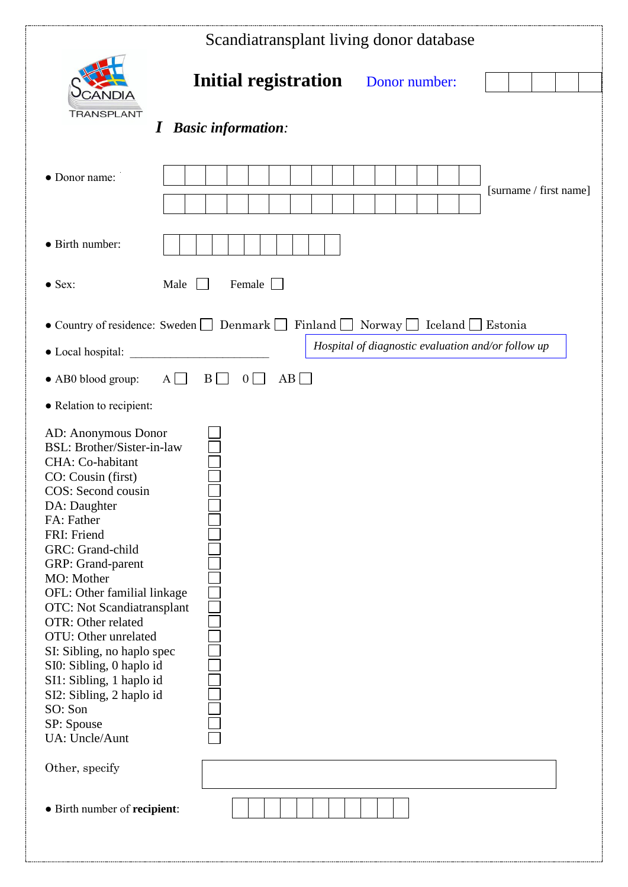|                                                                                                                                                                                                                                                                                                                                                                                                                                                                                                             | Scandiatransplant living donor database           |                                                    |                        |
|-------------------------------------------------------------------------------------------------------------------------------------------------------------------------------------------------------------------------------------------------------------------------------------------------------------------------------------------------------------------------------------------------------------------------------------------------------------------------------------------------------------|---------------------------------------------------|----------------------------------------------------|------------------------|
| TRANSPLANT<br>$\boldsymbol{I}$                                                                                                                                                                                                                                                                                                                                                                                                                                                                              | Initial registration<br><b>Basic information:</b> | Donor number:                                      |                        |
| • Donor name:<br>• Birth number:                                                                                                                                                                                                                                                                                                                                                                                                                                                                            |                                                   |                                                    | [surname / first name] |
|                                                                                                                                                                                                                                                                                                                                                                                                                                                                                                             |                                                   |                                                    |                        |
| $\bullet$ Sex:<br>Male                                                                                                                                                                                                                                                                                                                                                                                                                                                                                      | Female                                            |                                                    |                        |
| • Country of residence: Sweden   Denmark   Finland   Norway   Iceland   Estonia                                                                                                                                                                                                                                                                                                                                                                                                                             |                                                   |                                                    |                        |
| • Local hospital:                                                                                                                                                                                                                                                                                                                                                                                                                                                                                           |                                                   | Hospital of diagnostic evaluation and/or follow up |                        |
| $A \Box$<br>$\bullet$ AB0 blood group:                                                                                                                                                                                                                                                                                                                                                                                                                                                                      | $B \Box$<br>AB<br>$0 \Box$                        |                                                    |                        |
| • Relation to recipient:                                                                                                                                                                                                                                                                                                                                                                                                                                                                                    |                                                   |                                                    |                        |
| AD: Anonymous Donor<br><b>BSL: Brother/Sister-in-law</b><br>CHA: Co-habitant<br>CO: Cousin (first)<br>COS: Second cousin<br>DA: Daughter<br>FA: Father<br>FRI: Friend<br>GRC: Grand-child<br>GRP: Grand-parent<br>MO: Mother<br>OFL: Other familial linkage<br><b>OTC:</b> Not Scandiatransplant<br>OTR: Other related<br>OTU: Other unrelated<br>SI: Sibling, no haplo spec<br>SI0: Sibling, 0 haplo id<br>SI1: Sibling, 1 haplo id<br>SI2: Sibling, 2 haplo id<br>SO: Son<br>SP: Spouse<br>UA: Uncle/Aunt |                                                   |                                                    |                        |
| Other, specify                                                                                                                                                                                                                                                                                                                                                                                                                                                                                              |                                                   |                                                    |                        |
| • Birth number of recipient:                                                                                                                                                                                                                                                                                                                                                                                                                                                                                |                                                   |                                                    |                        |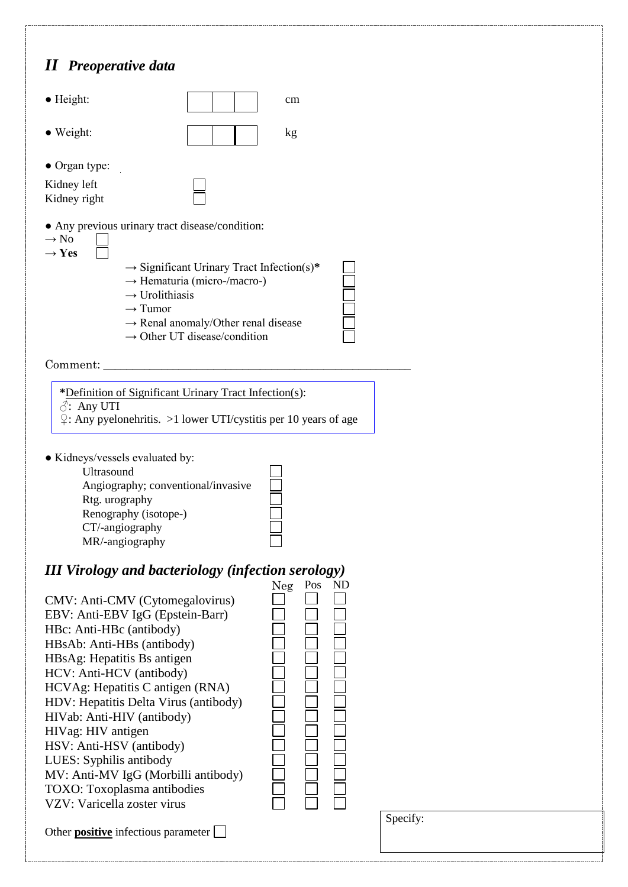## *II Preoperative data*



Comment:

**\***Definition of Significant Urinary Tract Infection(s): ♂: Any UTI ♀: Any pyelonehritis. >1 lower UTI/cystitis per 10 years of age

● Kidneys/vessels evaluated by:

Ultrasound Angiography; conventional/invasive Rtg. urography Renography (isotope-) CT/-angiography MR/-angiography

## *III Virology and bacteriology (infection serology)*

|                                            | Neg | Pos | ND |
|--------------------------------------------|-----|-----|----|
| CMV: Anti-CMV (Cytomegalovirus)            |     |     |    |
| EBV: Anti-EBV IgG (Epstein-Barr)           |     |     |    |
| HBc: Anti-HBc (antibody)                   |     |     |    |
| HBsAb: Anti-HBs (antibody)                 |     |     |    |
| HBsAg: Hepatitis Bs antigen                |     |     |    |
| HCV: Anti-HCV (antibody)                   |     |     |    |
| HCVAg: Hepatitis C antigen (RNA)           |     |     |    |
| HDV: Hepatitis Delta Virus (antibody)      |     |     |    |
| HIVab: Anti-HIV (antibody)                 |     |     |    |
| HIVag: HIV antigen                         |     |     |    |
| HSV: Anti-HSV (antibody)                   |     |     |    |
| LUES: Syphilis antibody                    |     |     |    |
| MV: Anti-MV IgG (Morbilli antibody)        |     |     |    |
| TOXO: Toxoplasma antibodies                |     |     |    |
| VZV: Varicella zoster virus                |     |     |    |
| Other <b>positive</b> infectious parameter |     |     |    |
|                                            |     |     |    |

| NDEC1T |  |
|--------|--|
|        |  |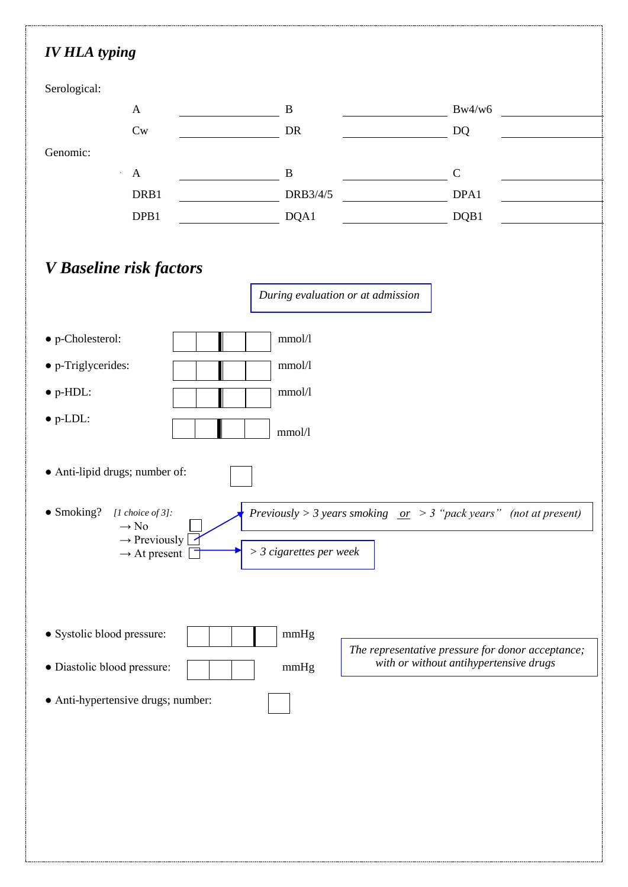## *IV HLA typing*

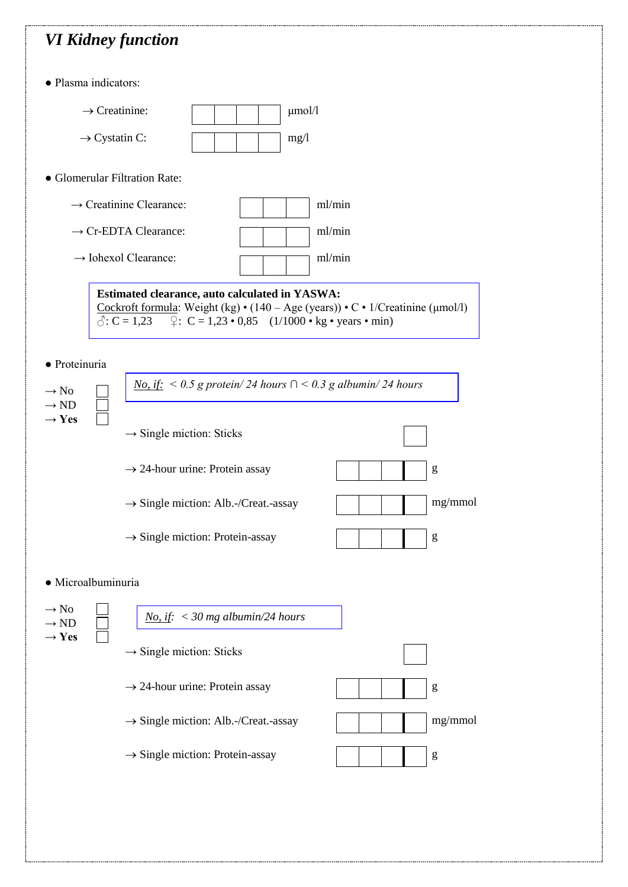## *VI Kidney function*

● Plasma indicators:

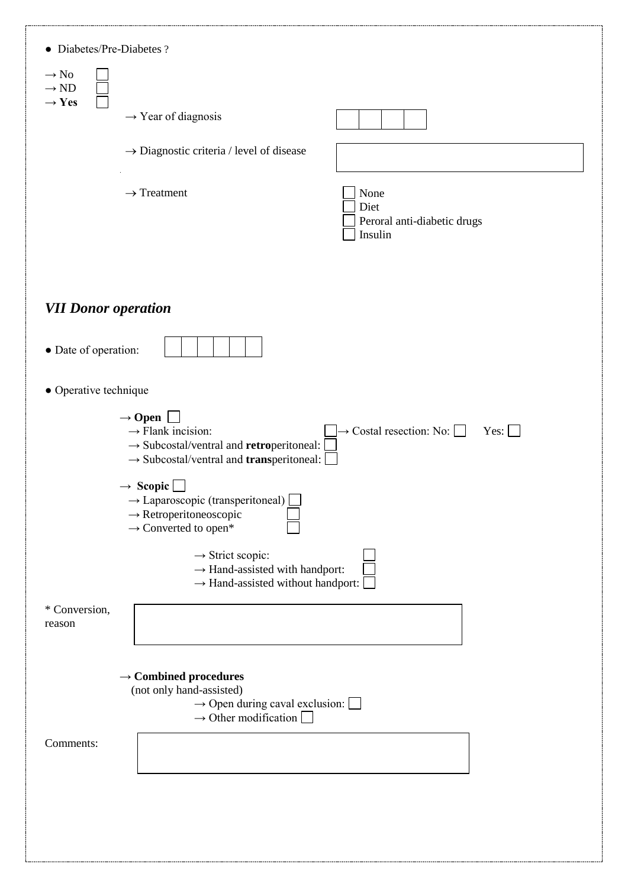| • Diabetes/Pre-Diabetes?                                  |                                                                                                                                                                                                                                                                                                                                      |                                                           |
|-----------------------------------------------------------|--------------------------------------------------------------------------------------------------------------------------------------------------------------------------------------------------------------------------------------------------------------------------------------------------------------------------------------|-----------------------------------------------------------|
| $\rightarrow$ No<br>$\rightarrow$ ND<br>$\rightarrow$ Yes |                                                                                                                                                                                                                                                                                                                                      |                                                           |
|                                                           | $\rightarrow$ Year of diagnosis                                                                                                                                                                                                                                                                                                      |                                                           |
|                                                           | $\rightarrow$ Diagnostic criteria / level of disease                                                                                                                                                                                                                                                                                 |                                                           |
|                                                           | $\rightarrow$ Treatment                                                                                                                                                                                                                                                                                                              | None<br>Diet<br>Peroral anti-diabetic drugs<br>Insulin    |
| <b>VII Donor operation</b>                                |                                                                                                                                                                                                                                                                                                                                      |                                                           |
| • Date of operation:                                      |                                                                                                                                                                                                                                                                                                                                      |                                                           |
| • Operative technique                                     |                                                                                                                                                                                                                                                                                                                                      |                                                           |
|                                                           | $\rightarrow$ Open $\Box$<br>$\rightarrow$ Flank incision:<br>$\rightarrow$ Subcostal/ventral and retroperitoneal:<br>$\rightarrow$ Subcostal/ventral and <b>trans</b> peritoneal:<br>$\rightarrow$ Scopic<br>$\rightarrow$ Laparoscopic (transperitoneal)<br>$\rightarrow$ Retroperitoneoscopic<br>$\rightarrow$ Converted to open* | $\rightarrow$ Costal resection: No: $\Box$<br>$Yes: \Box$ |
| * Conversion,                                             | $\rightarrow$ Strict scopic:<br>$\rightarrow$ Hand-assisted with handport:<br>$\rightarrow$ Hand-assisted without handport:                                                                                                                                                                                                          |                                                           |
| reason                                                    |                                                                                                                                                                                                                                                                                                                                      |                                                           |
| Comments:                                                 | $\rightarrow$ Combined procedures<br>(not only hand-assisted)<br>$\rightarrow$ Open during caval exclusion:<br>$\rightarrow$ Other modification                                                                                                                                                                                      |                                                           |
|                                                           |                                                                                                                                                                                                                                                                                                                                      |                                                           |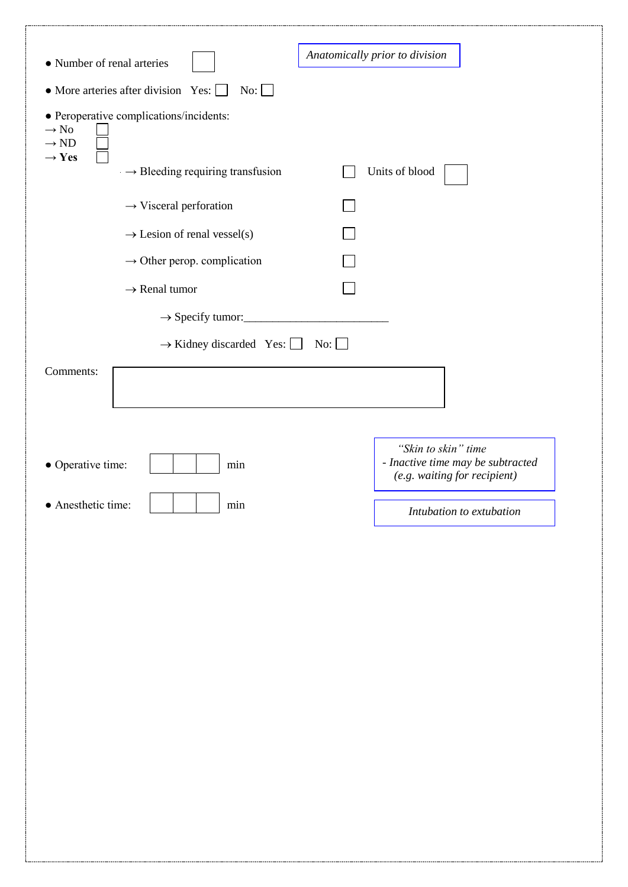|                                                                                                      | Anatomically prior to division                                                           |
|------------------------------------------------------------------------------------------------------|------------------------------------------------------------------------------------------|
| • Number of renal arteries                                                                           |                                                                                          |
| • More arteries after division Yes: [<br>No:<br>$\mathbf{I}$                                         |                                                                                          |
| • Peroperative complications/incidents:<br>$\rightarrow$ No<br>$\rightarrow$ ND<br>$\rightarrow$ Yes |                                                                                          |
| $\rightarrow$ Bleeding requiring transfusion                                                         | Units of blood                                                                           |
| $\rightarrow$ Visceral perforation                                                                   |                                                                                          |
| $\rightarrow$ Lesion of renal vessel(s)                                                              |                                                                                          |
| $\rightarrow$ Other perop. complication                                                              |                                                                                          |
| $\rightarrow$ Renal tumor                                                                            |                                                                                          |
| $\rightarrow$ Specify tumor:                                                                         |                                                                                          |
| $\rightarrow$ Kidney discarded Yes: $\Box$                                                           | $\overline{\text{No}}$ : $\Box$                                                          |
| Comments:                                                                                            |                                                                                          |
| • Operative time:<br>min                                                                             | "Skin to skin" time<br>- Inactive time may be subtracted<br>(e.g. waiting for recipient) |
| • Anesthetic time:<br>min                                                                            | Intubation to extubation                                                                 |
|                                                                                                      |                                                                                          |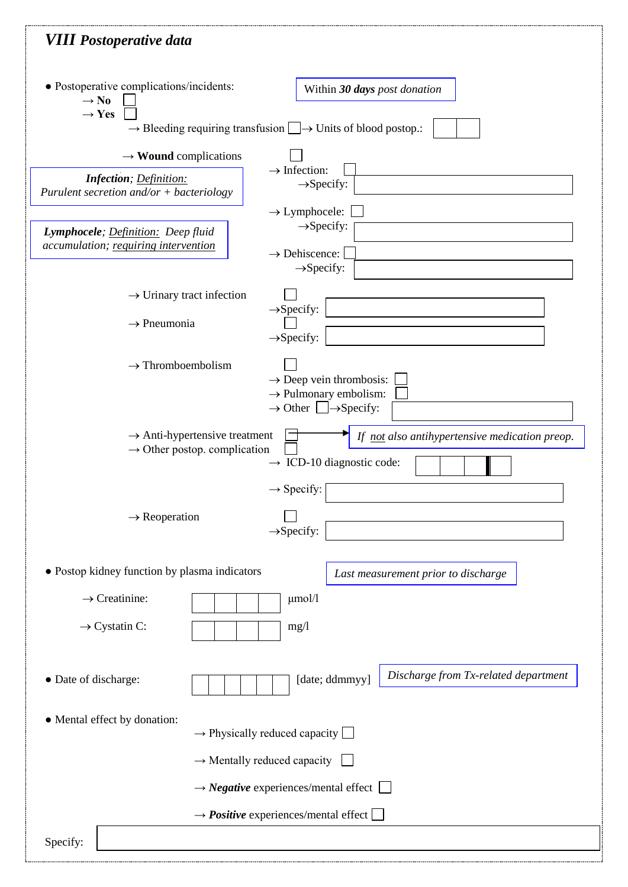| <b>VIII Postoperative data</b>                                                        |                                                                                                                             |
|---------------------------------------------------------------------------------------|-----------------------------------------------------------------------------------------------------------------------------|
| • Postoperative complications/incidents:<br>$\rightarrow$ No<br>$\rightarrow$ Yes     | Within 30 days post donation                                                                                                |
|                                                                                       | $\rightarrow$ Bleeding requiring transfusion $\Box \rightarrow$ Units of blood postop.:                                     |
| $\rightarrow$ Wound complications                                                     | $\rightarrow$ Infection:                                                                                                    |
| <b>Infection</b> ; Definition:<br>Purulent secretion and/or $+$ bacteriology          | $\rightarrow$ Specify:<br>$\rightarrow$ Lymphocele:                                                                         |
| Lymphocele; Definition: Deep fluid<br>accumulation; requiring intervention            | $\rightarrow$ Specify:<br>$\rightarrow$ Dehiscence:<br>$\rightarrow$ Specify:                                               |
| $\rightarrow$ Urinary tract infection                                                 |                                                                                                                             |
| $\rightarrow$ Pneumonia                                                               | $\rightarrow$ Specify:<br>$\rightarrow$ Specify:                                                                            |
| $\rightarrow$ Thromboembolism                                                         | $\rightarrow$ Deep vein thrombosis:<br>$\rightarrow$ Pulmonary embolism:<br>$\rightarrow$ Other $\Box \rightarrow$ Specify: |
| $\rightarrow$ Anti-hypertensive treatment<br>$\rightarrow$ Other postop. complication | If not also antihypertensive medication preop.<br>$\rightarrow$ ICD-10 diagnostic code:<br>$\rightarrow$ Specify:           |
| $\rightarrow$ Reoperation                                                             | $\rightarrow$ Specify:                                                                                                      |
| • Postop kidney function by plasma indicators                                         | Last measurement prior to discharge                                                                                         |
| $\rightarrow$ Creatinine:                                                             | $\mu$ mol/l                                                                                                                 |
| $\rightarrow$ Cystatin C:                                                             | mg/1                                                                                                                        |
| • Date of discharge:                                                                  | Discharge from Tx-related department<br>[date; ddmmyy]                                                                      |
| • Mental effect by donation:                                                          | $\rightarrow$ Physically reduced capacity $\Box$                                                                            |
|                                                                                       | $\rightarrow$ Mentally reduced capacity                                                                                     |
|                                                                                       |                                                                                                                             |
|                                                                                       | $\rightarrow$ <i>Negative</i> experiences/mental effect $\Box$                                                              |
|                                                                                       | $\rightarrow$ <i>Positive</i> experiences/mental effect                                                                     |
| Specify:                                                                              |                                                                                                                             |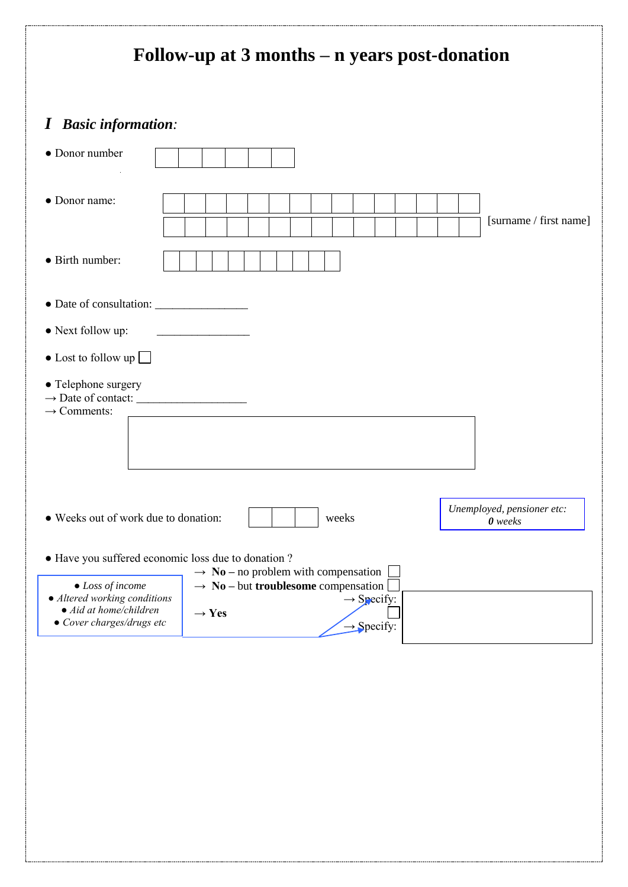| <b>Basic information:</b><br>$\boldsymbol{I}$<br>• Donor number<br>• Donor name:<br>[surname / first name]<br>• Birth number:<br>• Next follow up:<br>$\bullet$ Lost to follow up $\Box$<br>• Telephone surgery<br>$\rightarrow$ Comments:<br>Unemployed, pensioner etc:<br>• Weeks out of work due to donation:<br>weeks<br>$0$ weeks<br>• Have you suffered economic loss due to donation ?<br>$\rightarrow$ No – no problem with compensation<br>$\rightarrow$ No – but troublesome compensation<br>$\bullet$ Loss of income<br>• Altered working conditions<br>$\rightarrow$ Specify:<br>$\bullet$ Aid at home/children<br>$\rightarrow$ Yes<br>• Cover charges/drugs etc<br>$\rightarrow$ Specify: | Follow-up at 3 months – n years post-donation |  |  |
|---------------------------------------------------------------------------------------------------------------------------------------------------------------------------------------------------------------------------------------------------------------------------------------------------------------------------------------------------------------------------------------------------------------------------------------------------------------------------------------------------------------------------------------------------------------------------------------------------------------------------------------------------------------------------------------------------------|-----------------------------------------------|--|--|
|                                                                                                                                                                                                                                                                                                                                                                                                                                                                                                                                                                                                                                                                                                         |                                               |  |  |
|                                                                                                                                                                                                                                                                                                                                                                                                                                                                                                                                                                                                                                                                                                         |                                               |  |  |
|                                                                                                                                                                                                                                                                                                                                                                                                                                                                                                                                                                                                                                                                                                         |                                               |  |  |
|                                                                                                                                                                                                                                                                                                                                                                                                                                                                                                                                                                                                                                                                                                         |                                               |  |  |
|                                                                                                                                                                                                                                                                                                                                                                                                                                                                                                                                                                                                                                                                                                         |                                               |  |  |
|                                                                                                                                                                                                                                                                                                                                                                                                                                                                                                                                                                                                                                                                                                         |                                               |  |  |
|                                                                                                                                                                                                                                                                                                                                                                                                                                                                                                                                                                                                                                                                                                         |                                               |  |  |
|                                                                                                                                                                                                                                                                                                                                                                                                                                                                                                                                                                                                                                                                                                         |                                               |  |  |
|                                                                                                                                                                                                                                                                                                                                                                                                                                                                                                                                                                                                                                                                                                         |                                               |  |  |
|                                                                                                                                                                                                                                                                                                                                                                                                                                                                                                                                                                                                                                                                                                         |                                               |  |  |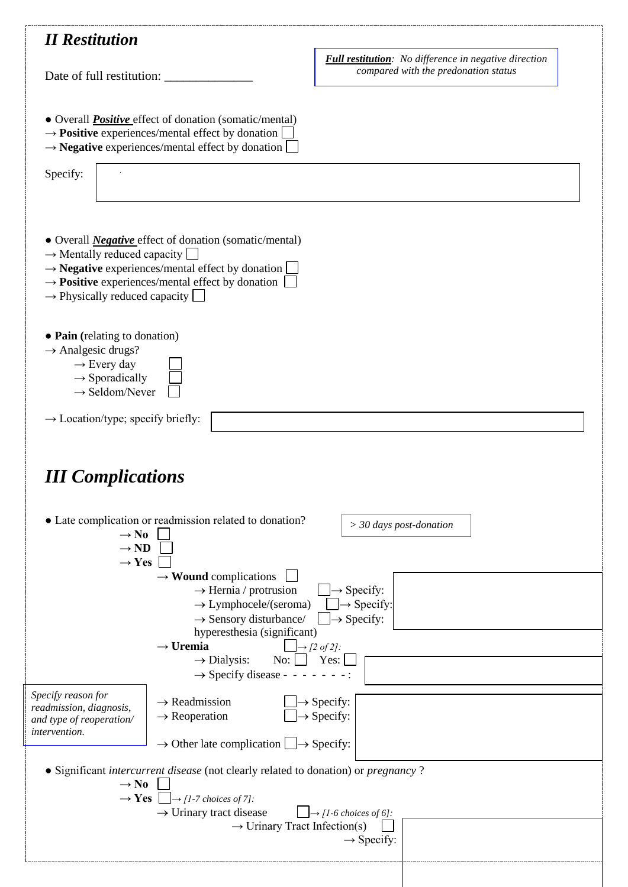|                                                                                                                                                                                                                                                                                                            | <b>Full restitution:</b> No difference in negative direction                                               |
|------------------------------------------------------------------------------------------------------------------------------------------------------------------------------------------------------------------------------------------------------------------------------------------------------------|------------------------------------------------------------------------------------------------------------|
| Date of full restitution:                                                                                                                                                                                                                                                                                  | compared with the predonation status                                                                       |
| • Overall <i>Positive</i> effect of donation (somatic/mental)<br>$\rightarrow$ <b>Positive</b> experiences/mental effect by donation<br>$\rightarrow$ <b>Negative</b> experiences/mental effect by donation                                                                                                |                                                                                                            |
| Specify:                                                                                                                                                                                                                                                                                                   |                                                                                                            |
| • Overall <i>Negative</i> effect of donation (somatic/mental)<br>$\rightarrow$ Mentally reduced capacity<br>$\rightarrow$ <b>Negative</b> experiences/mental effect by donation $\Box$<br>$\rightarrow$ <b>Positive</b> experiences/mental effect by donation<br>$\rightarrow$ Physically reduced capacity |                                                                                                            |
| • Pain (relating to donation)<br>$\rightarrow$ Analgesic drugs?<br>$\rightarrow$ Every day<br>$\rightarrow$ Sporadically<br>$\rightarrow$ Seldom/Never                                                                                                                                                     |                                                                                                            |
| $\rightarrow$ Location/type; specify briefly:                                                                                                                                                                                                                                                              |                                                                                                            |
|                                                                                                                                                                                                                                                                                                            |                                                                                                            |
| <b>III Complications</b><br>• Late complication or readmission related to donation?<br>$\rightarrow$ No<br>$\rightarrow$ ND<br>$\rightarrow$ Yes                                                                                                                                                           | $>$ 30 days post-donation                                                                                  |
| $\rightarrow$ Wound complications<br>$\rightarrow$ Hernia / protrusion<br>$\rightarrow$ Lymphocele/(seroma)<br>$\rightarrow$ Sensory disturbance/<br>hyperesthesia (significant)<br>$\rightarrow$ Uremia                                                                                                   | $\rightarrow$ Specify:<br>$\Box \rightarrow$ Specify:<br>$\rightarrow$ Specify:<br>$\rightarrow$ [2 of 2]: |
| $\overline{N_{0}}$ :<br>$\rightarrow$ Dialysis:<br>$\rightarrow$ Specify disease - - - - - - - :                                                                                                                                                                                                           | Yes:                                                                                                       |
| Specify reason for<br>$\rightarrow$ Readmission<br>readmission, diagnosis,<br>$\rightarrow$ Reoperation<br>and type of reoperation/<br><i>intervention.</i><br>$\rightarrow$ Other late complication $\Box \rightarrow$ Specify:                                                                           | $\rightarrow$ Specify:<br>$\rightarrow$ Specify:                                                           |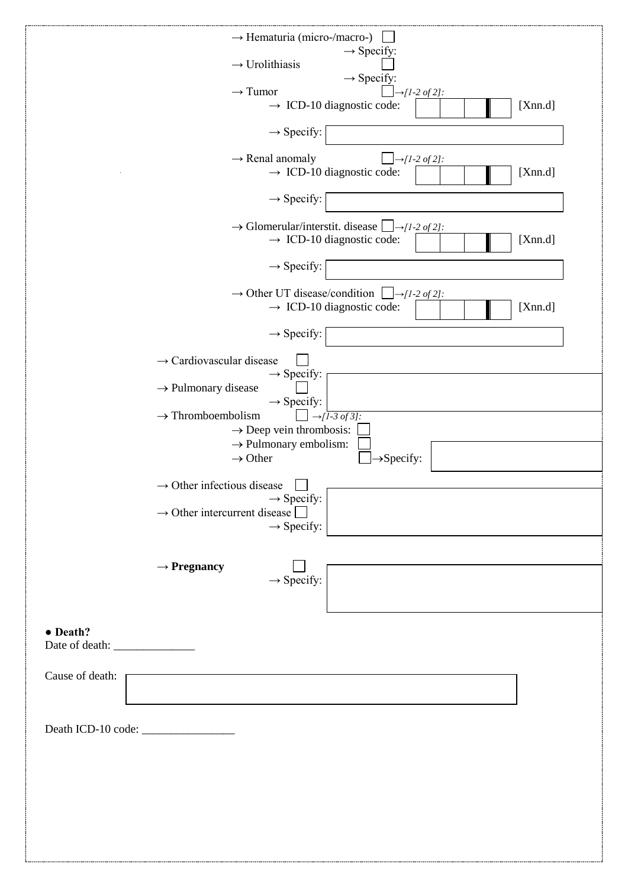|                 | $\rightarrow$ Hematuria (micro-/macro-)<br>$\rightarrow$ Specify:                    |
|-----------------|--------------------------------------------------------------------------------------|
|                 | $\rightarrow$ Urolithiasis<br>$\rightarrow$ Specify:                                 |
|                 | $\rightarrow$ Tumor<br>$\rightarrow [1-2 \text{ of } 2]:$                            |
|                 | $\rightarrow$ ICD-10 diagnostic code:<br>[Xnn.d]                                     |
|                 | $\rightarrow$ Specify:                                                               |
|                 | $\rightarrow$ Renal anomaly<br>$\rightarrow$ [1-2 of 2]:                             |
|                 | $\rightarrow$ ICD-10 diagnostic code:<br>[Xnn.d]                                     |
|                 | $\rightarrow$ Specify:                                                               |
|                 | $\rightarrow$ Glomerular/interstit. disease $\Box \rightarrow [1-2 \text{ of } 2]$ : |
|                 | $\rightarrow$ ICD-10 diagnostic code:<br>[Xnn.d]                                     |
|                 | $\rightarrow$ Specify:                                                               |
|                 | $\rightarrow$ Other UT disease/condition $\Box \rightarrow [1-2 \text{ of } 2]$ :    |
|                 | $\rightarrow$ ICD-10 diagnostic code:<br>[Xnn.d]                                     |
|                 | $\rightarrow$ Specify:                                                               |
|                 | $\rightarrow$ Cardiovascular disease                                                 |
|                 | $\rightarrow$ Specify:                                                               |
|                 | $\rightarrow$ Pulmonary disease<br>$\rightarrow$ Specify:                            |
|                 | $\rightarrow$ Thromboembolism<br>$\rightarrow$ [1-3 of 3]:                           |
|                 | $\rightarrow$ Deep vein thrombosis:                                                  |
|                 | $\rightarrow$ Pulmonary embolism:<br>$\rightarrow$ Other<br>$\rightarrow$ Specify:   |
|                 |                                                                                      |
|                 | $\rightarrow$ Other infectious disease<br>$\rightarrow$ Specify:                     |
|                 | $\rightarrow$ Other intercurrent disease                                             |
|                 | $\rightarrow$ Specify:                                                               |
|                 |                                                                                      |
|                 | $\rightarrow$ Pregnancy                                                              |
|                 | $\rightarrow$ Specify:                                                               |
|                 |                                                                                      |
| • Death?        |                                                                                      |
|                 |                                                                                      |
| Cause of death: |                                                                                      |
|                 |                                                                                      |
|                 |                                                                                      |
|                 |                                                                                      |
|                 |                                                                                      |
|                 |                                                                                      |
|                 |                                                                                      |
|                 |                                                                                      |
|                 |                                                                                      |
|                 |                                                                                      |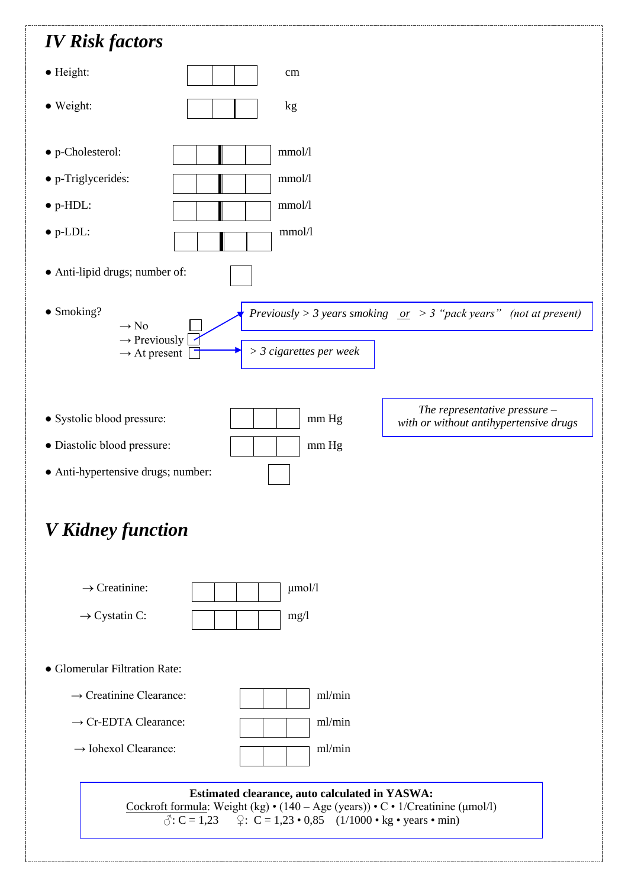